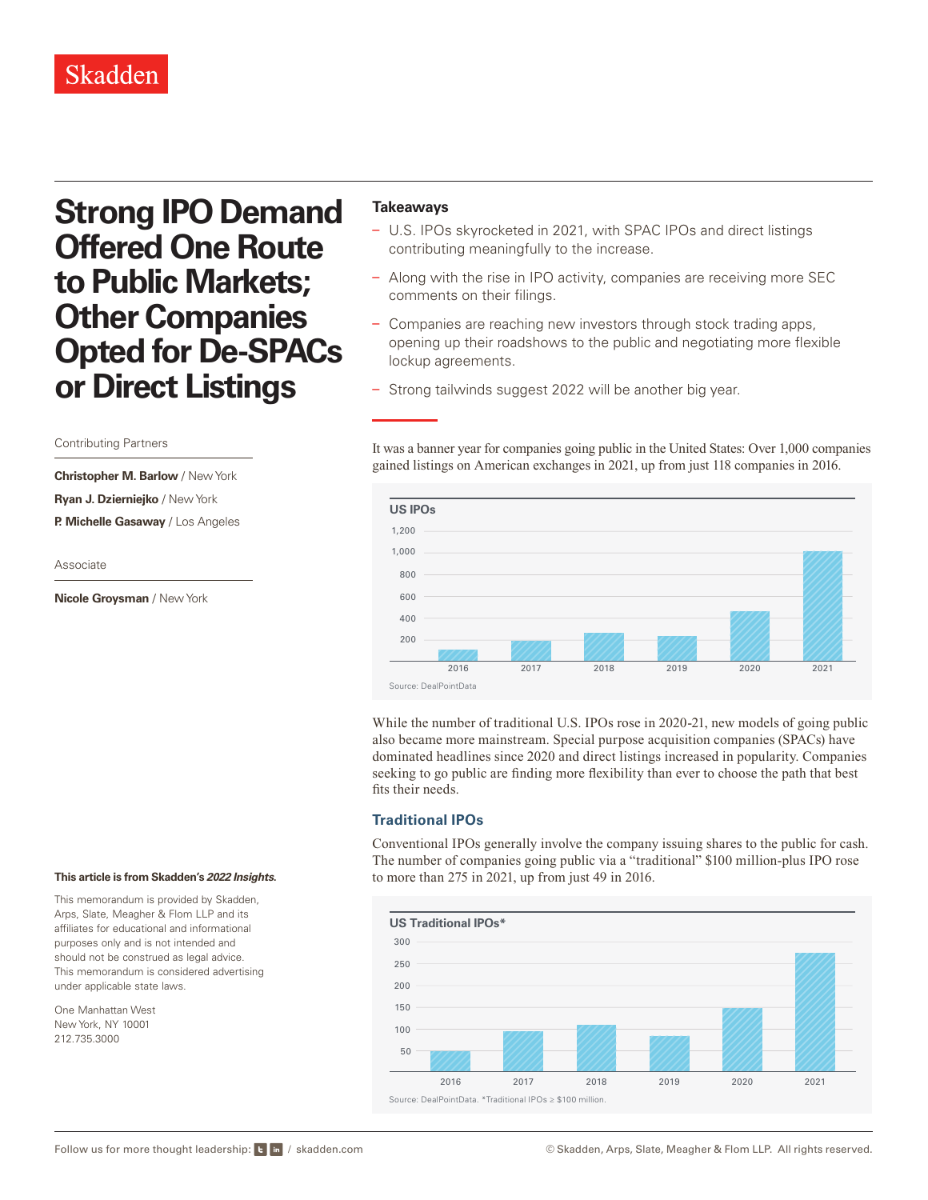## Skadden

# **Strong IPO Demand Offered One Route to Public Markets; Other Companies Opted for De-SPACs or Direct Listings**

#### Contributing Partners

**Christopher M. Barlow** / New York **Ryan J. Dzierniejko** / New York **P. Michelle Gasaway** / Los Angeles

Associate

**Nicole Groysman** / New York

### **Takeaways**

- U.S. IPOs skyrocketed in 2021, with SPAC IPOs and direct listings contributing meaningfully to the increase.
- Along with the rise in IPO activity, companies are receiving more SEC comments on their filings.
- Companies are reaching new investors through stock trading apps, opening up their roadshows to the public and negotiating more flexible lockup agreements.
- Strong tailwinds suggest 2022 will be another big year.

It was a banner year for companies going public in the United States: Over 1,000 companies gained listings on American exchanges in 2021, up from just 118 companies in 2016.



While the number of traditional U.S. IPOs rose in 2020-21, new models of going public also became more mainstream. Special purpose acquisition companies (SPACs) have dominated headlines since 2020 and direct listings increased in popularity. Companies seeking to go public are finding more flexibility than ever to choose the path that best fits their needs.

#### **Traditional IPOs**

Conventional IPOs generally involve the company issuing shares to the public for cash. The number of companies going public via a "traditional" \$100 million-plus IPO rose to more than 275 in 2021, up from just 49 in 2016.



#### **This article is from Skadden's** *[2022 Insights](https://www.skadden.com/insights/publications/2022/01/2022-insights/2022-insights)***.**

This memorandum is provided by Skadden, Arps, Slate, Meagher & Flom LLP and its affiliates for educational and informational purposes only and is not intended and should not be construed as legal advice. This memorandum is considered advertising under applicable state laws.

One Manhattan West New York, NY 10001 212.735.3000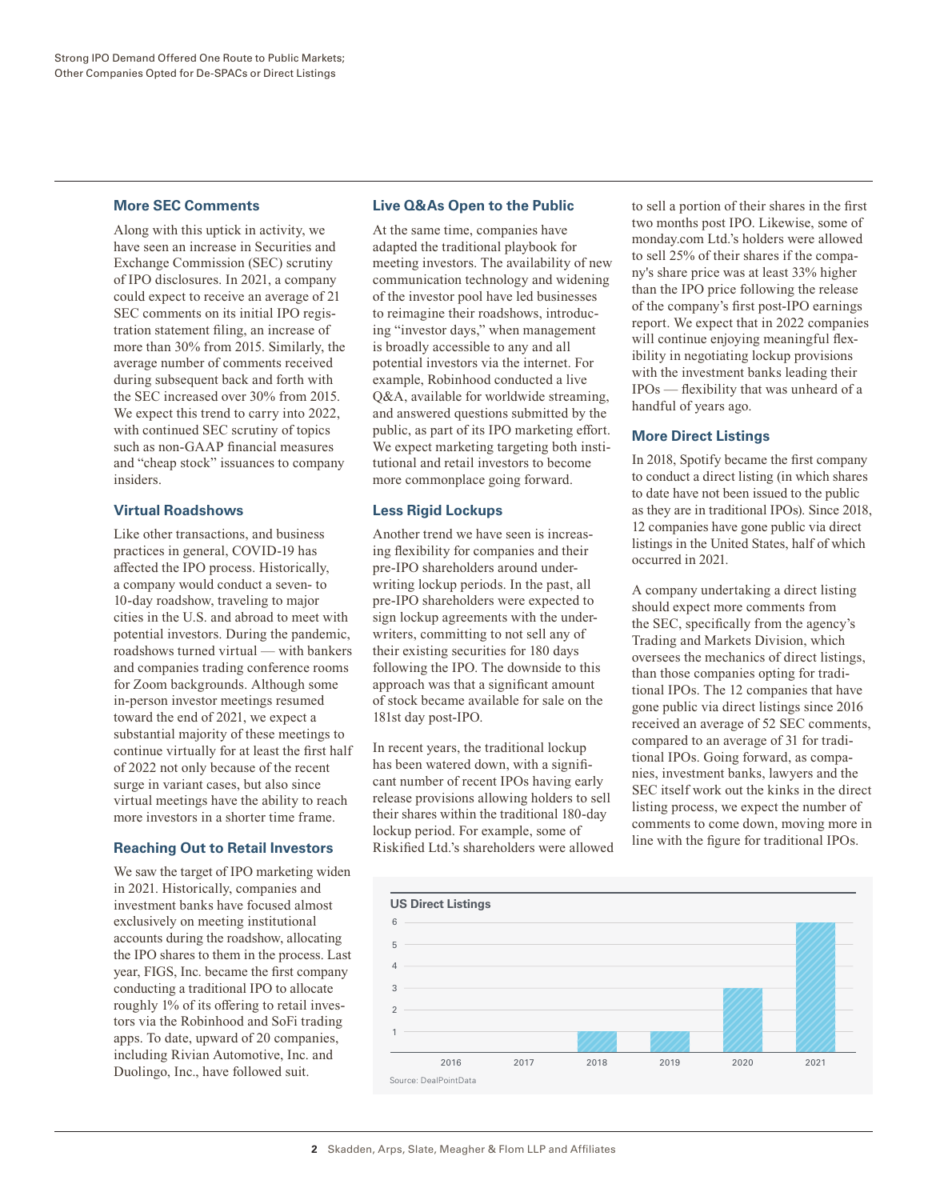#### **More SEC Comments**

Along with this uptick in activity, we have seen an increase in Securities and Exchange Commission (SEC) scrutiny of IPO disclosures. In 2021, a company could expect to receive an average of 21 SEC comments on its initial IPO registration statement filing, an increase of more than 30% from 2015. Similarly, the average number of comments received during subsequent back and forth with the SEC increased over 30% from 2015. We expect this trend to carry into 2022, with continued SEC scrutiny of topics such as non-GAAP financial measures and "cheap stock" issuances to company insiders.

#### **Virtual Roadshows**

Like other transactions, and business practices in general, COVID-19 has affected the IPO process. Historically, a company would conduct a seven- to 10-day roadshow, traveling to major cities in the U.S. and abroad to meet with potential investors. During the pandemic, roadshows turned virtual — with bankers and companies trading conference rooms for Zoom backgrounds. Although some in-person investor meetings resumed toward the end of 2021, we expect a substantial majority of these meetings to continue virtually for at least the first half of 2022 not only because of the recent surge in variant cases, but also since virtual meetings have the ability to reach more investors in a shorter time frame.

### **Reaching Out to Retail Investors**

We saw the target of IPO marketing widen in 2021. Historically, companies and investment banks have focused almost exclusively on meeting institutional accounts during the roadshow, allocating the IPO shares to them in the process. Last year, FIGS, Inc. became the first company conducting a traditional IPO to allocate roughly 1% of its offering to retail investors via the Robinhood and SoFi trading apps. To date, upward of 20 companies, including Rivian Automotive, Inc. and Duolingo, Inc., have followed suit.

#### **Live Q&As Open to the Public**

At the same time, companies have adapted the traditional playbook for meeting investors. The availability of new communication technology and widening of the investor pool have led businesses to reimagine their roadshows, introducing "investor days," when management is broadly accessible to any and all potential investors via the internet. For example, Robinhood conducted a live Q&A, available for worldwide streaming, and answered questions submitted by the public, as part of its IPO marketing effort. We expect marketing targeting both institutional and retail investors to become more commonplace going forward.

#### **Less Rigid Lockups**

Another trend we have seen is increasing flexibility for companies and their pre-IPO shareholders around underwriting lockup periods. In the past, all pre-IPO shareholders were expected to sign lockup agreements with the underwriters, committing to not sell any of their existing securities for 180 days following the IPO. The downside to this approach was that a significant amount of stock became available for sale on the 181st day post-IPO.

In recent years, the traditional lockup has been watered down, with a significant number of recent IPOs having early release provisions allowing holders to sell their shares within the traditional 180-day lockup period. For example, some of Riskified Ltd.'s shareholders were allowed to sell a portion of their shares in the first two months post IPO. Likewise, some of monday.com Ltd.'s holders were allowed to sell 25% of their shares if the company's share price was at least 33% higher than the IPO price following the release of the company's first post-IPO earnings report. We expect that in 2022 companies will continue enjoying meaningful flexibility in negotiating lockup provisions with the investment banks leading their IPOs — flexibility that was unheard of a handful of years ago.

### **More Direct Listings**

In 2018, Spotify became the first company to conduct a direct listing (in which shares to date have not been issued to the public as they are in traditional IPOs). Since 2018, 12 companies have gone public via direct listings in the United States, half of which occurred in 2021.

A company undertaking a direct listing should expect more comments from the SEC, specifically from the agency's Trading and Markets Division, which oversees the mechanics of direct listings, than those companies opting for traditional IPOs. The 12 companies that have gone public via direct listings since 2016 received an average of 52 SEC comments, compared to an average of 31 for traditional IPOs. Going forward, as companies, investment banks, lawyers and the SEC itself work out the kinks in the direct listing process, we expect the number of comments to come down, moving more in line with the figure for traditional IPOs.